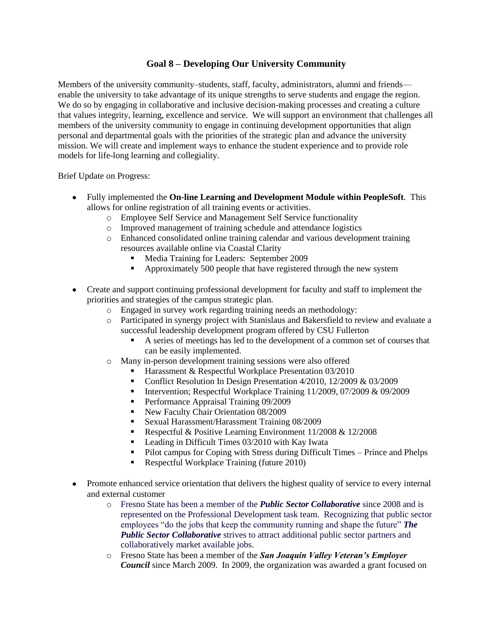## **Goal 8 – Developing Our University Community**

Members of the university community–students, staff, faculty, administrators, alumni and friends enable the university to take advantage of its unique strengths to serve students and engage the region. We do so by engaging in collaborative and inclusive decision-making processes and creating a culture that values integrity, learning, excellence and service. We will support an environment that challenges all members of the university community to engage in continuing development opportunities that align personal and departmental goals with the priorities of the strategic plan and advance the university mission. We will create and implement ways to enhance the student experience and to provide role models for life-long learning and collegiality.

Brief Update on Progress:

- Fully implemented the **On-line Learning and Development Module within PeopleSoft**. This allows for online registration of all training events or activities.
	- o Employee Self Service and Management Self Service functionality
	- o Improved management of training schedule and attendance logistics
	- o Enhanced consolidated online training calendar and various development training resources available online via Coastal Clarity
		- Media Training for Leaders: September 2009
		- Approximately 500 people that have registered through the new system
- Create and support continuing professional development for faculty and staff to implement the priorities and strategies of the campus strategic plan.
	- o Engaged in survey work regarding training needs an methodology:
	- o Participated in synergy project with Stanislaus and Bakersfield to review and evaluate a successful leadership development program offered by CSU Fullerton
		- A series of meetings has led to the development of a common set of courses that can be easily implemented.
	- o Many in-person development training sessions were also offered
		- Harassment & Respectful Workplace Presentation 03/2010
		- Conflict Resolution In Design Presentation 4/2010, 12/2009 & 03/2009
		- Intervention; Respectful Workplace Training 11/2009, 07/2009 & 09/2009
		- **Performance Appraisal Training 09/2009**
		- New Faculty Chair Orientation 08/2009
		- Sexual Harassment/Harassment Training 08/2009
		- Respectful & Positive Learning Environment  $11/2008 \& 12/2008$
		- Leading in Difficult Times 03/2010 with Kay Iwata
		- **Pilot campus for Coping with Stress during Difficult Times Prince and Phelps**
		- Respectful Workplace Training (future 2010)
- Promote enhanced service orientation that delivers the highest quality of service to every internal and external customer
	- o Fresno State has been a member of the *Public Sector Collaborative* since 2008 and is represented on the Professional Development task team. Recognizing that public sector employees "do the jobs that keep the community running and shape the future" **The** *Public Sector Collaborative* strives to attract additional public sector partners and collaboratively market available jobs.
	- o Fresno State has been a member of the *San Joaquin Valley Veteran's Employer Council* since March 2009. In 2009, the organization was awarded a grant focused on